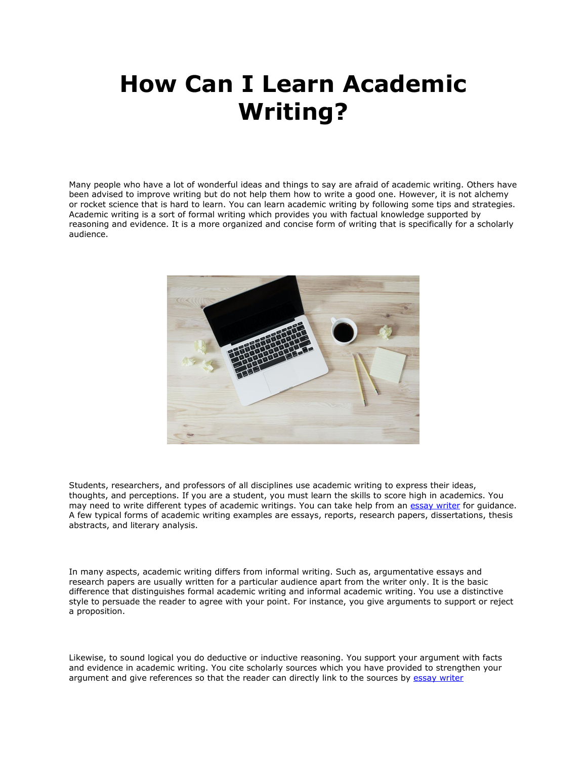## **How Can I Learn Academic Writing?**

Many people who have a lot of wonderful ideas and things to say are afraid of academic writing. Others have been advised to improve writing but do not help them how to write a good one. However, it is not alchemy or rocket science that is hard to learn. You can learn academic writing by following some tips and strategies. Academic writing is a sort of formal writing which provides you with factual knowledge supported by reasoning and evidence. It is a more organized and concise form of writing that is specifically for a scholarly audience.



Students, researchers, and professors of all disciplines use academic writing to express their ideas, thoughts, and perceptions. If you are a student, you must learn the skills to score high in academics. You may need to write different types of academic writings. You can take help from an [essay writer](https://essayhours.com/) for guidance. A few typical forms of academic writing examples are essays, reports, research papers, dissertations, thesis abstracts, and literary analysis.

In many aspects, academic writing differs from informal writing. Such as, argumentative essays and research papers are usually written for a particular audience apart from the writer only. It is the basic difference that distinguishes formal academic writing and informal academic writing. You use a distinctive style to persuade the reader to agree with your point. For instance, you give arguments to support or reject a proposition.

Likewise, to sound logical you do deductive or inductive reasoning. You support your argument with facts and evidence in academic writing. You cite scholarly sources which you have provided to strengthen your argument and give references so that the reader can directly link to the sources by [essay writer](https://youressaywriter.net/)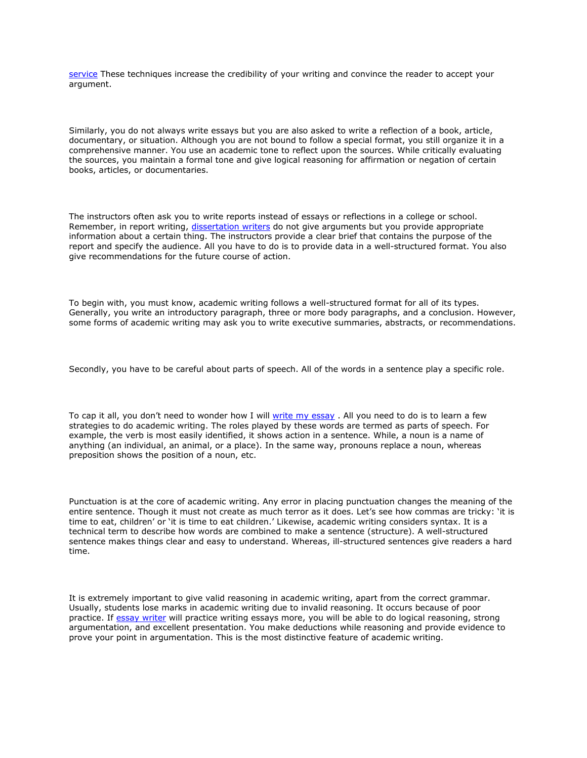[service](https://youressaywriter.net/) These techniques increase the credibility of your writing and convince the reader to accept your argument.

Similarly, you do not always write essays but you are also asked to write a reflection of a book, article, documentary, or situation. Although you are not bound to follow a special format, you still organize it in a comprehensive manner. You use an academic tone to reflect upon the sources. While critically evaluating the sources, you maintain a formal tone and give logical reasoning for affirmation or negation of certain books, articles, or documentaries.

The instructors often ask you to write reports instead of essays or reflections in a college or school. Remember, in report writing, [dissertation writers](https://gradschoolgenius.com/professional-dissertation-writers) do not give arguments but you provide appropriate information about a certain thing. The instructors provide a clear brief that contains the purpose of the report and specify the audience. All you have to do is to provide data in a well-structured format. You also give recommendations for the future course of action.

To begin with, you must know, academic writing follows a well-structured format for all of its types. Generally, you write an introductory paragraph, three or more body paragraphs, and a conclusion. However, some forms of academic writing may ask you to write executive summaries, abstracts, or recommendations.

Secondly, you have to be careful about parts of speech. All of the words in a sentence play a specific role.

To cap it all, you don't need to wonder how I will [write my essay](https://www.writemyessay.help/) . All you need to do is to learn a few strategies to do academic writing. The roles played by these words are termed as parts of speech. For example, the verb is most easily identified, it shows action in a sentence. While, a noun is a name of anything (an individual, an animal, or a place). In the same way, pronouns replace a noun, whereas preposition shows the position of a noun, etc.

Punctuation is at the core of academic writing. Any error in placing punctuation changes the meaning of the entire sentence. Though it must not create as much terror as it does. Let's see how commas are tricky: 'it is time to eat, children' or 'it is time to eat children.' Likewise, academic writing considers syntax. It is a technical term to describe how words are combined to make a sentence (structure). A well-structured sentence makes things clear and easy to understand. Whereas, ill-structured sentences give readers a hard time.

It is extremely important to give valid reasoning in academic writing, apart from the correct grammar. Usually, students lose marks in academic writing due to invalid reasoning. It occurs because of poor practice. If [essay writer](https://www.freeessaywriter.net/) will practice writing essays more, you will be able to do logical reasoning, strong argumentation, and excellent presentation. You make deductions while reasoning and provide evidence to prove your point in argumentation. This is the most distinctive feature of academic writing.